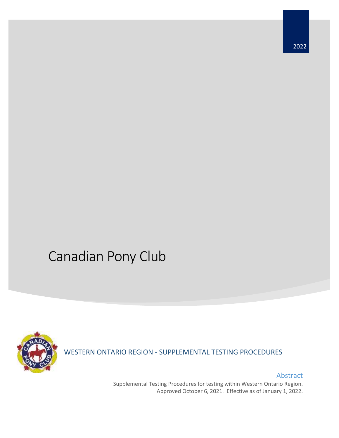# Canadian Pony Club



WESTERN ONTARIO REGION - SUPPLEMENTAL TESTING PROCEDURES

Abstract Supplemental Testing Procedures for testing within Western Ontario Region. Approved October 6, 2021. Effective as of January 1, 2022.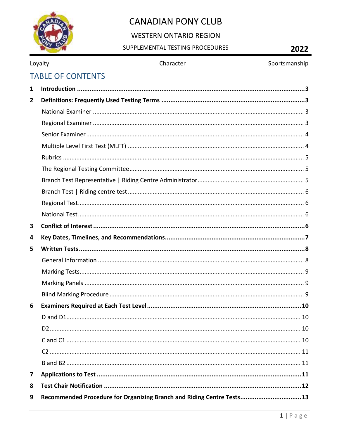

# **WESTERN ONTARIO REGION**

# $\overline{2}$

|                |                          | SUPPLEMENTAL TESTING PROCEDURES                                        | 2022          |
|----------------|--------------------------|------------------------------------------------------------------------|---------------|
|                | Loyalty                  | Character                                                              | Sportsmanship |
|                | <b>TABLE OF CONTENTS</b> |                                                                        |               |
| 1              |                          |                                                                        |               |
| $\overline{2}$ |                          |                                                                        |               |
|                |                          |                                                                        |               |
|                |                          |                                                                        |               |
|                |                          |                                                                        |               |
|                |                          |                                                                        |               |
|                |                          |                                                                        |               |
|                |                          |                                                                        |               |
|                |                          |                                                                        |               |
|                |                          |                                                                        |               |
|                |                          |                                                                        |               |
|                |                          |                                                                        |               |
| 3              |                          |                                                                        |               |
| 4              |                          |                                                                        |               |
| 5              |                          |                                                                        |               |
|                |                          |                                                                        |               |
|                |                          |                                                                        |               |
|                |                          |                                                                        |               |
|                |                          |                                                                        |               |
| 6              |                          |                                                                        |               |
|                |                          |                                                                        |               |
|                |                          |                                                                        |               |
|                |                          |                                                                        |               |
|                |                          |                                                                        |               |
|                |                          |                                                                        |               |
| 7              |                          |                                                                        |               |
| 8              |                          |                                                                        |               |
| 9              |                          | Recommended Procedure for Organizing Branch and Riding Centre Tests 13 |               |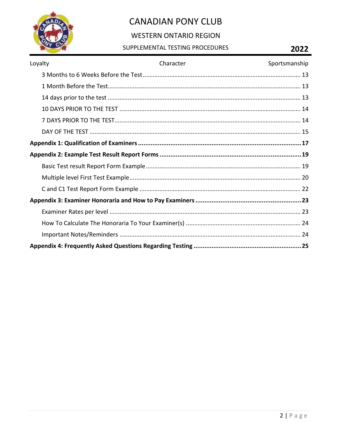

# **WESTERN ONTARIO REGION**

## SUPPLEMENTAL TESTING PROCEDURES

# 2022

| Loyalty | Character | Sportsmanship |
|---------|-----------|---------------|
|         |           |               |
|         |           |               |
|         |           |               |
|         |           |               |
|         |           |               |
|         |           |               |
|         |           |               |
|         |           |               |
|         |           |               |
|         |           |               |
|         |           |               |
|         |           |               |
|         |           |               |
|         |           |               |
|         |           |               |
|         |           |               |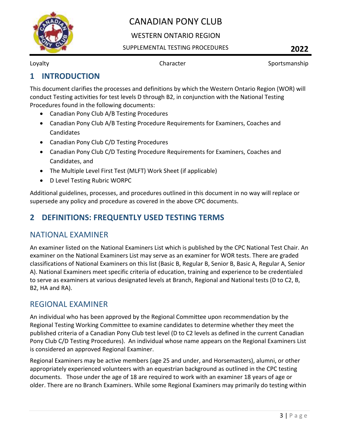

## WESTERN ONTARIO REGION

### SUPPLEMENTAL TESTING PROCEDURES **2022**

Loyalty **Character Character** Sportsmanship

# <span id="page-3-0"></span>**1 INTRODUCTION**

This document clarifies the processes and definitions by which the Western Ontario Region (WOR) will conduct Testing activities for test levels D through B2, in conjunction with the National Testing Procedures found in the following documents:

- Canadian Pony Club A/B Testing Procedures
- Canadian Pony Club A/B Testing Procedure Requirements for Examiners, Coaches and Candidates
- Canadian Pony Club C/D Testing Procedures
- Canadian Pony Club C/D Testing Procedure Requirements for Examiners, Coaches and Candidates, and
- The Multiple Level First Test (MLFT) Work Sheet (if applicable)
- D Level Testing Rubric WORPC

Additional guidelines, processes, and procedures outlined in this document in no way will replace or supersede any policy and procedure as covered in the above CPC documents.

# <span id="page-3-1"></span>**2 DEFINITIONS: FREQUENTLY USED TESTING TERMS**

# <span id="page-3-2"></span>NATIONAL EXAMINER

An examiner listed on the National Examiners List which is published by the CPC National Test Chair. An examiner on the National Examiners List may serve as an examiner for WOR tests. There are graded classifications of National Examiners on this list (Basic B, Regular B, Senior B, Basic A, Regular A, Senior A). National Examiners meet specific criteria of education, training and experience to be credentialed to serve as examiners at various designated levels at Branch, Regional and National tests (D to C2, B, B2, HA and RA).

# <span id="page-3-3"></span>REGIONAL EXAMINER

An individual who has been approved by the Regional Committee upon recommendation by the Regional Testing Working Committee to examine candidates to determine whether they meet the published criteria of a Canadian Pony Club test level (D to C2 levels as defined in the current Canadian Pony Club C/D Testing Procedures). An individual whose name appears on the Regional Examiners List is considered an approved Regional Examiner.

Regional Examiners may be active members (age 25 and under, and Horsemasters), alumni, or other appropriately experienced volunteers with an equestrian background as outlined in the CPC testing documents. Those under the age of 18 are required to work with an examiner 18 years of age or older. There are no Branch Examiners. While some Regional Examiners may primarily do testing within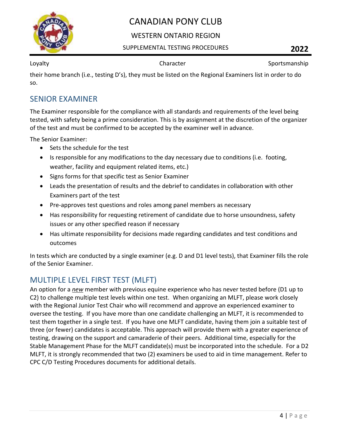

## WESTERN ONTARIO REGION

### SUPPLEMENTAL TESTING PROCEDURES **2022**

Loyalty **Sportsmanship** Character **Character** Sportsmanship

their home branch (i.e., testing D's), they must be listed on the Regional Examiners list in order to do so.

## <span id="page-4-0"></span>SENIOR EXAMINER

The Examiner responsible for the compliance with all standards and requirements of the level being tested, with safety being a prime consideration. This is by assignment at the discretion of the organizer of the test and must be confirmed to be accepted by the examiner well in advance.

The Senior Examiner:

- Sets the schedule for the test
- Is responsible for any modifications to the day necessary due to conditions (i.e. footing, weather, facility and equipment related items, etc.)
- Signs forms for that specific test as Senior Examiner
- Leads the presentation of results and the debrief to candidates in collaboration with other Examiners part of the test
- Pre-approves test questions and roles among panel members as necessary
- Has responsibility for requesting retirement of candidate due to horse unsoundness, safety issues or any other specified reason if necessary
- Has ultimate responsibility for decisions made regarding candidates and test conditions and outcomes

In tests which are conducted by a single examiner (e.g. D and D1 level tests), that Examiner fills the role of the Senior Examiner.

# <span id="page-4-1"></span>MULTIPLE LEVEL FIRST TEST (MLFT)

An option for a *new* member with previous equine experience who has never tested before (D1 up to C2) to challenge multiple test levels within one test. When organizing an MLFT, please work closely with the Regional Junior Test Chair who will recommend and approve an experienced examiner to oversee the testing. If you have more than one candidate challenging an MLFT, it is recommended to test them together in a single test. If you have one MLFT candidate, having them join a suitable test of three (or fewer) candidates is acceptable. This approach will provide them with a greater experience of testing, drawing on the support and camaraderie of their peers. Additional time, especially for the Stable Management Phase for the MLFT candidate(s) must be incorporated into the schedule. For a D2 MLFT, it is strongly recommended that two (2) examiners be used to aid in time management. Refer to CPC C/D Testing Procedures documents for additional details.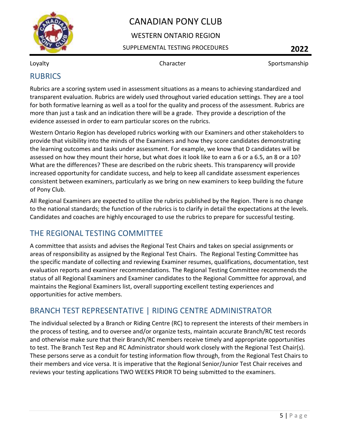

## WESTERN ONTARIO REGION

### SUPPLEMENTAL TESTING PROCEDURES **2022**

Loyalty **Sportsmanship** Character **Sportsmanship** Character Sportsmanship

# <span id="page-5-0"></span>RUBRICS

Rubrics are a scoring system used in assessment situations as a means to achieving standardized and transparent evaluation. Rubrics are widely used throughout varied education settings. They are a tool for both formative learning as well as a tool for the quality and process of the assessment. Rubrics are more than just a task and an indication there will be a grade. They provide a description of the evidence assessed in order to earn particular scores on the rubrics.

Western Ontario Region has developed rubrics working with our Examiners and other stakeholders to provide that visibility into the minds of the Examiners and how they score candidates demonstrating the learning outcomes and tasks under assessment. For example, we know that D candidates will be assessed on how they mount their horse, but what does it look like to earn a 6 or a 6.5, an 8 or a 10? What are the differences? These are described on the rubric sheets. This transparency will provide increased opportunity for candidate success, and help to keep all candidate assessment experiences consistent between examiners, particularly as we bring on new examiners to keep building the future of Pony Club.

All Regional Examiners are expected to utilize the rubrics published by the Region. There is no change to the national standards; the function of the rubrics is to clarify in detail the expectations at the levels. Candidates and coaches are highly encouraged to use the rubrics to prepare for successful testing.

# <span id="page-5-1"></span>THE REGIONAL TESTING COMMITTEE

A committee that assists and advises the Regional Test Chairs and takes on special assignments or areas of responsibility as assigned by the Regional Test Chairs. The Regional Testing Committee has the specific mandate of collecting and reviewing Examiner resumes, qualifications, documentation, test evaluation reports and examiner recommendations. The Regional Testing Committee recommends the status of all Regional Examiners and Examiner candidates to the Regional Committee for approval, and maintains the Regional Examiners list, overall supporting excellent testing experiences and opportunities for active members.

# <span id="page-5-2"></span>BRANCH TEST REPRESENTATIVE | RIDING CENTRE ADMINISTRATOR

The individual selected by a Branch or Riding Centre (RC) to represent the interests of their members in the process of testing, and to oversee and/or organize tests, maintain accurate Branch/RC test records and otherwise make sure that their Branch/RC members receive timely and appropriate opportunities to test. The Branch Test Rep and RC Administrator should work closely with the Regional Test Chair(s). These persons serve as a conduit for testing information flow through, from the Regional Test Chairs to their members and vice versa. It is imperative that the Regional Senior/Junior Test Chair receives and reviews your testing applications TWO WEEKS PRIOR TO being submitted to the examiners.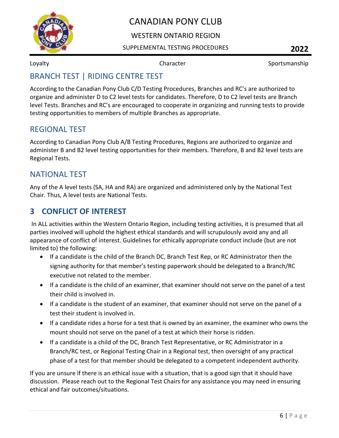

## WESTERN ONTARIO REGION

### SUPPLEMENTAL TESTING PROCEDURES **2022**

Loyalty **Sportsmanship** Character **Character** Sportsmanship

# <span id="page-6-0"></span>BRANCH TEST | RIDING CENTRE TEST

According to the Canadian Pony Club C/D Testing Procedures, Branches and RC's are authorized to organize and administer D to C2 level tests for candidates. Therefore, D to C2 level tests are Branch level Tests. Branches and RC's are encouraged to cooperate in organizing and running tests to provide testing opportunities to members of multiple Branches as appropriate.

# <span id="page-6-1"></span>REGIONAL TEST

According to Canadian Pony Club A/B Testing Procedures, Regions are authorized to organize and administer B and B2 level testing opportunities for their members. Therefore, B and B2 level tests are Regional Tests.

# <span id="page-6-2"></span>NATIONAL TEST

Any of the A level tests (SA, HA and RA) are organized and administered only by the National Test Chair. Thus, A level tests are National Tests.

# <span id="page-6-3"></span>**3 CONFLICT OF INTEREST**

In ALL activities within the Western Ontario Region, including testing activities, it is presumed that all parties involved will uphold the highest ethical standards and will scrupulously avoid any and all appearance of conflict of interest. Guidelines for ethically appropriate conduct include (but are not limited to) the following:

- If a candidate is the child of the Branch DC, Branch Test Rep, or RC Administrator then the signing authority for that member's testing paperwork should be delegated to a Branch/RC executive not related to the member.
- If a candidate is the child of an examiner, that examiner should not serve on the panel of a test their child is involved in.
- If a candidate is the student of an examiner, that examiner should not serve on the panel of a test their student is involved in.
- If a candidate rides a horse for a test that is owned by an examiner, the examiner who owns the mount should not serve on the panel of a test at which their horse is ridden.
- If a candidate is a child of the DC, Branch Test Representative, or RC Administrator in a Branch/RC test, or Regional Testing Chair in a Regional test, then oversight of any practical phase of a test for that member should be delegated to a competent independent authority.

If you are unsure if there is an ethical issue with a situation, that is a good sign that it should have discussion. Please reach out to the Regional Test Chairs for any assistance you may need in ensuring ethical and fair outcomes/situations.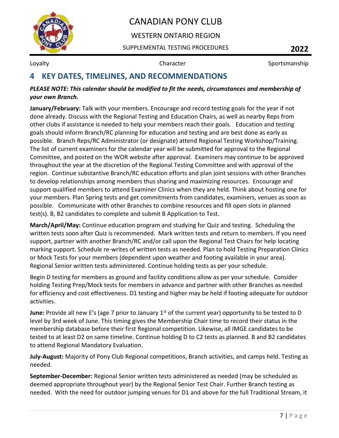

## WESTERN ONTARIO REGION

SUPPLEMENTAL TESTING PROCEDURES **2022**

Loyalty **Sportsmanship** Character **Sportsmanship** Character Sportsmanship

# <span id="page-7-0"></span>**4 KEY DATES, TIMELINES, AND RECOMMENDATIONS**

### *PLEASE NOTE: This calendar should be modified to fit the needs, circumstances and membership of your own Branch.*

**January/February:** Talk with your members. Encourage and record testing goals for the year if not done already. Discuss with the Regional Testing and Education Chairs, as well as nearby Reps from other clubs if assistance is needed to help your members reach their goals. Education and testing goals should inform Branch/RC planning for education and testing and are best done as early as possible. Branch Reps/RC Administrator (or designate) attend Regional Testing Workshop/Training. The list of current examiners for the calendar year will be submitted for approval to the Regional Committee, and posted on the WOR website after approval. Examiners may continue to be approved throughout the year at the discretion of the Regional Testing Committee and with approval of the region. Continue substantive Branch/RC education efforts and plan joint sessions with other Branches to develop relationships among members thus sharing and maximizing resources. Encourage and support qualified members to attend Examiner Clinics when they are held. Think about hosting one for your members. Plan Spring tests and get commitments from candidates, examiners, venues as soon as possible. Communicate with other Branches to combine resources and fill open slots in planned test(s). B, B2 candidates to complete and submit B Application to Test.

**March/April/May:** Continue education program and studying for Quiz and testing. Scheduling the written tests soon after Quiz is recommended. Mark written tests and return to members. If you need support, partner with another Branch/RC and/or call upon the Regional Test Chairs for help locating marking support. Schedule re-writes of written tests as needed. Plan to hold Testing Preparation Clinics or Mock Tests for your members (dependent upon weather and footing available in your area). Regional Senior written tests administered. Continue holding tests as per your schedule.

Begin D testing for members as ground and facility conditions allow as per your schedule. Consider holding Testing Prep/Mock tests for members in advance and partner with other Branches as needed for efficiency and cost effectiveness. D1 testing and higher may be held if footing adequate for outdoor activities.

**June:** Provide all new E's (age 7 prior to January 1<sup>st</sup> of the current year) opportunity to be tested to D level by 3rd week of June. This timing gives the Membership Chair time to record their status in the membership database before their first Regional competition. Likewise, all IMGE candidates to be tested to at least D2 on same timeline. Continue holding D to C2 tests as planned. B and B2 candidates to attend Regional Mandatory Evaluation.

**July-August:** Majority of Pony Club Regional competitions, Branch activities, and camps held. Testing as needed.

**September-December:** Regional Senior written tests administered as needed (may be scheduled as deemed appropriate throughout year) by the Regional Senior Test Chair. Further Branch testing as needed. With the need for outdoor jumping venues for D1 and above for the full Traditional Stream, it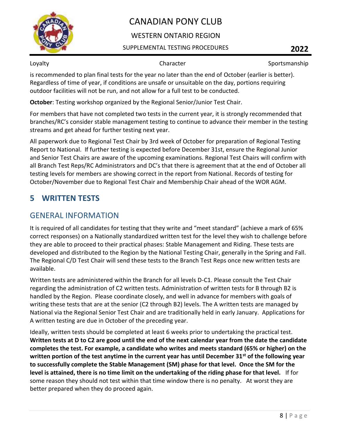

## WESTERN ONTARIO REGION

### SUPPLEMENTAL TESTING PROCEDURES **2022**

Loyalty **Sportsmanship** Character **Sportsmanship** 

is recommended to plan final tests for the year no later than the end of October (earlier is better). Regardless of time of year, if conditions are unsafe or unsuitable on the day, portions requiring outdoor facilities will not be run, and not allow for a full test to be conducted.

**October**: Testing workshop organized by the Regional Senior/Junior Test Chair.

For members that have not completed two tests in the current year, it is strongly recommended that branches/RC's consider stable management testing to continue to advance their member in the testing streams and get ahead for further testing next year.

All paperwork due to Regional Test Chair by 3rd week of October for preparation of Regional Testing Report to National. If further testing is expected before December 31st, ensure the Regional Junior and Senior Test Chairs are aware of the upcoming examinations. Regional Test Chairs will confirm with all Branch Test Reps/RC Administrators and DC's that there is agreement that at the end of October all testing levels for members are showing correct in the report from National. Records of testing for October/November due to Regional Test Chair and Membership Chair ahead of the WOR AGM.

# <span id="page-8-0"></span>**5 WRITTEN TESTS**

# <span id="page-8-1"></span>GENERAL INFORMATION

It is required of all candidates for testing that they write and "meet standard" (achieve a mark of 65% correct responses) on a Nationally standardized written test for the level they wish to challenge before they are able to proceed to their practical phases: Stable Management and Riding. These tests are developed and distributed to the Region by the National Testing Chair, generally in the Spring and Fall. The Regional C/D Test Chair will send these tests to the Branch Test Reps once new written tests are available.

Written tests are administered within the Branch for all levels D-C1. Please consult the Test Chair regarding the administration of C2 written tests. Administration of written tests for B through B2 is handled by the Region. Please coordinate closely, and well in advance for members with goals of writing these tests that are at the senior (C2 through B2) levels. The A written tests are managed by National via the Regional Senior Test Chair and are traditionally held in early January. Applications for A written testing are due in October of the preceding year.

Ideally, written tests should be completed at least 6 weeks prior to undertaking the practical test. **Written tests at D to C2 are good until the end of the next calendar year from the date the candidate completes the test. For example, a candidate who writes and meets standard (65% or higher) on the written portion of the test anytime in the current year has until December 31st of the following year to successfully complete the Stable Management (SM) phase for that level. Once the SM for the level is attained, there is no time limit on the undertaking of the riding phase for that level.** If for some reason they should not test within that time window there is no penalty. At worst they are better prepared when they do proceed again.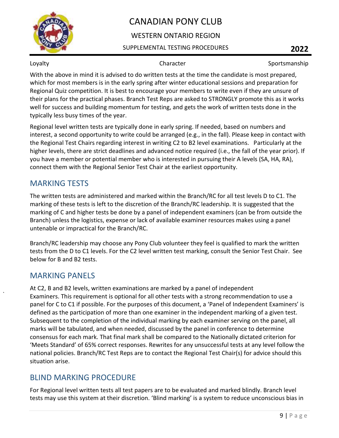

## WESTERN ONTARIO REGION

### SUPPLEMENTAL TESTING PROCEDURES **2022**

Loyalty **Sportsmanship** Character **Sportsmanship** 

With the above in mind it is advised to do written tests at the time the candidate is most prepared, which for most members is in the early spring after winter educational sessions and preparation for Regional Quiz competition. It is best to encourage your members to write even if they are unsure of their plans for the practical phases. Branch Test Reps are asked to STRONGLY promote this as it works well for success and building momentum for testing, and gets the work of written tests done in the typically less busy times of the year.

Regional level written tests are typically done in early spring. If needed, based on numbers and interest, a second opportunity to write could be arranged (e.g., in the fall). Please keep in contact with the Regional Test Chairs regarding interest in writing C2 to B2 level examinations. Particularly at the higher levels, there are strict deadlines and advanced notice required (i.e., the fall of the year prior). If you have a member or potential member who is interested in pursuing their A levels (SA, HA, RA), connect them with the Regional Senior Test Chair at the earliest opportunity.

# <span id="page-9-0"></span>MARKING TESTS

The written tests are administered and marked within the Branch/RC for all test levels D to C1. The marking of these tests is left to the discretion of the Branch/RC leadership. It is suggested that the marking of C and higher tests be done by a panel of independent examiners (can be from outside the Branch) unless the logistics, expense or lack of available examiner resources makes using a panel untenable or impractical for the Branch/RC.

Branch/RC leadership may choose any Pony Club volunteer they feel is qualified to mark the written tests from the D to C1 levels. For the C2 level written test marking, consult the Senior Test Chair. See below for B and B2 tests.

# <span id="page-9-1"></span>MARKING PANELS

At C2, B and B2 levels, written examinations are marked by a panel of independent Examiners. This requirement is optional for all other tests with a strong recommendation to use a panel for C to C1 if possible. For the purposes of this document, a 'Panel of Independent Examiners' is defined as the participation of more than one examiner in the independent marking of a given test. Subsequent to the completion of the individual marking by each examiner serving on the panel, all marks will be tabulated, and when needed, discussed by the panel in conference to determine consensus for each mark. That final mark shall be compared to the Nationally dictated criterion for 'Meets Standard' of 65% correct responses. Rewrites for any unsuccessful tests at any level follow the national policies. Branch/RC Test Reps are to contact the Regional Test Chair(s) for advice should this situation arise.

# <span id="page-9-2"></span>BLIND MARKING PROCEDURE

For Regional level written tests all test papers are to be evaluated and marked blindly. Branch level tests may use this system at their discretion. 'Blind marking' is a system to reduce unconscious bias in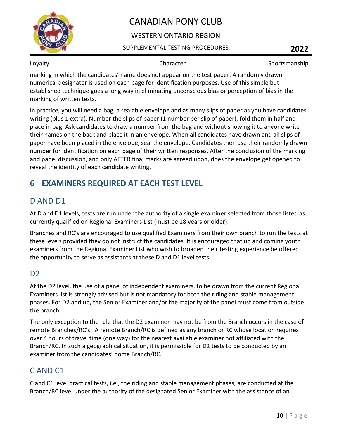

## WESTERN ONTARIO REGION

### SUPPLEMENTAL TESTING PROCEDURES **2022**

Loyalty **Sportsmanship** Character **Sportsmanship** Character Sportsmanship

marking in which the candidates' name does not appear on the test paper. A randomly drawn numerical designator is used on each page for identification purposes. Use of this simple but established technique goes a long way in eliminating unconscious bias or perception of bias in the marking of written tests.

In practice, you will need a bag, a sealable envelope and as many slips of paper as you have candidates writing (plus 1 extra). Number the slips of paper (1 number per slip of paper), fold them in half and place in bag. Ask candidates to draw a number from the bag and without showing it to anyone write their names on the back and place it in an envelope. When all candidates have drawn and all slips of paper have been placed in the envelope, seal the envelope. Candidates then use their randomly drawn number for identification on each page of their written responses. After the conclusion of the marking and panel discussion, and only AFTER final marks are agreed upon, does the envelope get opened to reveal the identity of each candidate writing.

# <span id="page-10-0"></span>**6 EXAMINERS REQUIRED AT EACH TEST LEVEL**

# <span id="page-10-1"></span>D AND D1

At D and D1 levels, tests are run under the authority of a single examiner selected from those listed as currently qualified on Regional Examiners List (must be 18 years or older).

Branches and RC's are encouraged to use qualified Examiners from their own branch to run the tests at these levels provided they do not instruct the candidates. It is encouraged that up and coming youth examiners from the Regional Examiner List who wish to broaden their testing experience be offered the opportunity to serve as assistants at these D and D1 level tests.

# <span id="page-10-2"></span>D2

At the D2 level, the use of a panel of independent examiners, to be drawn from the current Regional Examiners list is strongly advised but is not mandatory for both the riding and stable management phases. For D2 and up, the Senior Examiner and/or the majority of the panel must come from outside the branch.

The only exception to the rule that the D2 examiner may not be from the Branch occurs in the case of remote Branches/RC's. A remote Branch/RC is defined as any branch or RC whose location requires over 4 hours of travel time (one way) for the nearest available examiner not affiliated with the Branch/RC. In such a geographical situation, it is permissible for D2 tests to be conducted by an examiner from the candidates' home Branch/RC.

# <span id="page-10-3"></span>C AND C1

C and C1 level practical tests, i.e., the riding and stable management phases, are conducted at the Branch/RC level under the authority of the designated Senior Examiner with the assistance of an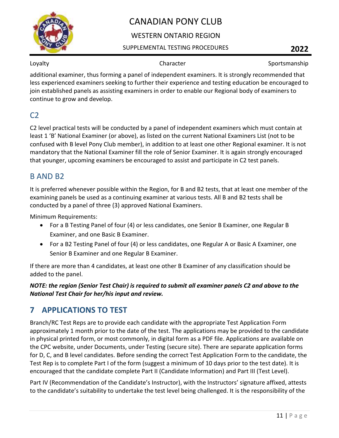

## WESTERN ONTARIO REGION

### SUPPLEMENTAL TESTING PROCEDURES **2022**

Loyalty **Sportsmanship** Character **Sportsmanship** 

additional examiner, thus forming a panel of independent examiners. It is strongly recommended that less experienced examiners seeking to further their experience and testing education be encouraged to join established panels as assisting examiners in order to enable our Regional body of examiners to continue to grow and develop.

# <span id="page-11-0"></span> $C<sub>2</sub>$

C2 level practical tests will be conducted by a panel of independent examiners which must contain at least 1 'B' National Examiner (or above), as listed on the current National Examiners List (not to be confused with B level Pony Club member), in addition to at least one other Regional examiner. It is not mandatory that the National Examiner fill the role of Senior Examiner. It is again strongly encouraged that younger, upcoming examiners be encouraged to assist and participate in C2 test panels.

# <span id="page-11-1"></span>B AND B2

It is preferred whenever possible within the Region, for B and B2 tests, that at least one member of the examining panels be used as a continuing examiner at various tests. All B and B2 tests shall be conducted by a panel of three (3) approved National Examiners.

Minimum Requirements:

- For a B Testing Panel of four (4) or less candidates, one Senior B Examiner, one Regular B Examiner, and one Basic B Examiner.
- For a B2 Testing Panel of four (4) or less candidates, one Regular A or Basic A Examiner, one Senior B Examiner and one Regular B Examiner.

If there are more than 4 candidates, at least one other B Examiner of any classification should be added to the panel.

*NOTE: the region (Senior Test Chair) is required to submit all examiner panels C2 and above to the National Test Chair for her/his input and review.*

# <span id="page-11-2"></span>**7 APPLICATIONS TO TEST**

Branch/RC Test Reps are to provide each candidate with the appropriate Test Application Form approximately 1 month prior to the date of the test. The applications may be provided to the candidate in physical printed form, or most commonly, in digital form as a PDF file. Applications are available on the CPC website, under Documents, under Testing (secure site). There are separate application forms for D, C, and B level candidates. Before sending the correct Test Application Form to the candidate, the Test Rep is to complete Part I of the form (suggest a minimum of 10 days prior to the test date). It is encouraged that the candidate complete Part II (Candidate Information) and Part III (Test Level).

Part IV (Recommendation of the Candidate's Instructor), with the Instructors' signature affixed, attests to the candidate's suitability to undertake the test level being challenged. It is the responsibility of the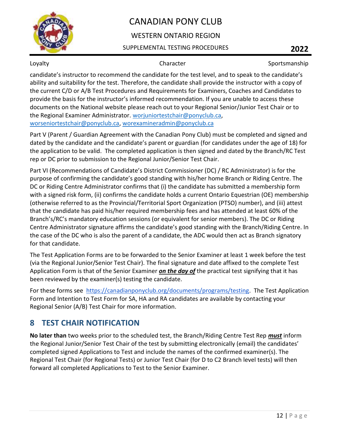

## WESTERN ONTARIO REGION

### SUPPLEMENTAL TESTING PROCEDURES **2022**

Loyalty **Sportsmanship** Character **Sportsmanship** 

candidate's instructor to recommend the candidate for the test level, and to speak to the candidate's ability and suitability for the test. Therefore, the candidate shall provide the instructor with a copy of the current C/D or A/B Test Procedures and Requirements for Examiners, Coaches and Candidates to provide the basis for the instructor's informed recommendation. If you are unable to access these documents on the National website please reach out to your Regional Senior/Junior Test Chair or to the Regional Examiner Administrator. [worjuniortestchair@ponyclub.ca,](mailto:worjuniortestchair@ponyclub.ca) [worseniortestchair@ponyclub.ca,](mailto:worseniortestchair@ponyclub.ca) [worexamineradmin@ponyclub.ca](mailto:worexamineradmin@ponyclub.ca)

Part V (Parent / Guardian Agreement with the Canadian Pony Club) must be completed and signed and dated by the candidate and the candidate's parent or guardian (for candidates under the age of 18) for the application to be valid. The completed application is then signed and dated by the Branch/RC Test rep or DC prior to submission to the Regional Junior/Senior Test Chair.

Part VI (Recommendations of Candidate's District Commissioner (DC) / RC Administrator) is for the purpose of confirming the candidate's good standing with his/her home Branch or Riding Centre. The DC or Riding Centre Administrator confirms that (i) the candidate has submitted a membership form with a signed risk form, (ii) confirms the candidate holds a current Ontario Equestrian (OE) membership (otherwise referred to as the Provincial/Territorial Sport Organization (PTSO) number), and (iii) attest that the candidate has paid his/her required membership fees and has attended at least 60% of the Branch's/RC's mandatory education sessions (or equivalent for senior members). The DC or Riding Centre Administrator signature affirms the candidate's good standing with the Branch/Riding Centre. In the case of the DC who is also the parent of a candidate, the ADC would then act as Branch signatory for that candidate.

The Test Application Forms are to be forwarded to the Senior Examiner at least 1 week before the test (via the Regional Junior/Senior Test Chair). The final signature and date affixed to the complete Test Application Form is that of the Senior Examiner *on the day of* the practical test signifying that it has been reviewed by the examiner(s) testing the candidate.

For these forms see [https://canadianponyclub.org/documents/programs/testing.](https://canadianponyclub.org/documents/programs/testing) The Test Application Form and Intention to Test Form for SA, HA and RA candidates are available by contacting your Regional Senior (A/B) Test Chair for more information.

# <span id="page-12-0"></span>**8 TEST CHAIR NOTIFICATION**

**No later than** two weeks prior to the scheduled test, the Branch/Riding Centre Test Rep *must* inform the Regional Junior/Senior Test Chair of the test by submitting electronically (email) the candidates' completed signed Applications to Test and include the names of the confirmed examiner(s). The Regional Test Chair (for Regional Tests) or Junior Test Chair (for D to C2 Branch level tests) will then forward all completed Applications to Test to the Senior Examiner.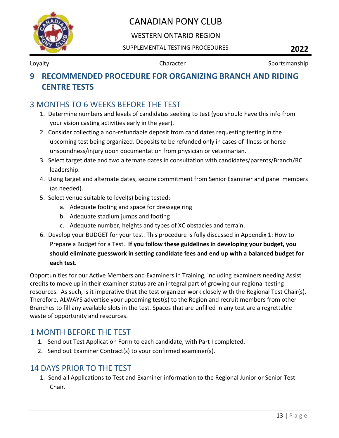

## WESTERN ONTARIO REGION

SUPPLEMENTAL TESTING PROCEDURES **2022**

Loyalty **Sportsmanship** Character **Character** Sportsmanship

# <span id="page-13-0"></span>**9 RECOMMENDED PROCEDURE FOR ORGANIZING BRANCH AND RIDING CENTRE TESTS**

# <span id="page-13-1"></span>3 MONTHS TO 6 WEEKS BEFORE THE TEST

- 1. Determine numbers and levels of candidates seeking to test (you should have this info from your vision casting activities early in the year).
- 2. Consider collecting a non-refundable deposit from candidates requesting testing in the upcoming test being organized. Deposits to be refunded only in cases of illness or horse unsoundness/injury upon documentation from physician or veterinarian.
- 3. Select target date and two alternate dates in consultation with candidates/parents/Branch/RC leadership.
- 4. Using target and alternate dates, secure commitment from Senior Examiner and panel members (as needed).
- 5. Select venue suitable to level(s) being tested:
	- a. Adequate footing and space for dressage ring
	- b. Adequate stadium jumps and footing
	- c. Adequate number, heights and types of XC obstacles and terrain.
- 6. Develop your BUDGET for your test. This procedure is fully discussed in Appendix 1: How to Prepare a Budget for a Test. **If you follow these guidelines in developing your budget, you should eliminate guesswork in setting candidate fees and end up with a balanced budget for each test.**

Opportunities for our Active Members and Examiners in Training, including examiners needing Assist credits to move up in their examiner status are an integral part of growing our regional testing resources. As such, is it imperative that the test organizer work closely with the Regional Test Chair(s). Therefore, ALWAYS advertise your upcoming test(s) to the Region and recruit members from other Branches to fill any available slots in the test. Spaces that are unfilled in any test are a regrettable waste of opportunity and resources.

# <span id="page-13-2"></span>1 MONTH BEFORE THE TEST

- 1. Send out Test Application Form to each candidate, with Part I completed.
- 2. Send out Examiner Contract(s) to your confirmed examiner(s).

# <span id="page-13-3"></span>14 DAYS PRIOR TO THE TEST

1. Send all Applications to Test and Examiner information to the Regional Junior or Senior Test Chair.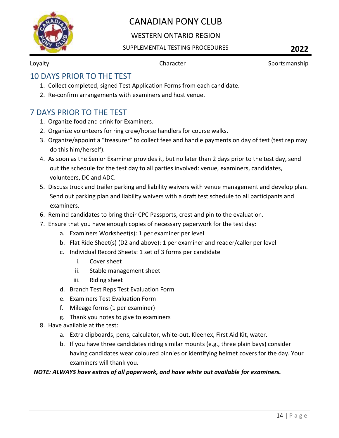

## WESTERN ONTARIO REGION

### SUPPLEMENTAL TESTING PROCEDURES **2022**

Loyalty **Sportsmanship** Character **Character** Sportsmanship

# <span id="page-14-0"></span>10 DAYS PRIOR TO THE TEST

- 1. Collect completed, signed Test Application Forms from each candidate.
- 2. Re-confirm arrangements with examiners and host venue.

# <span id="page-14-1"></span>7 DAYS PRIOR TO THE TEST

- 1. Organize food and drink for Examiners.
- 2. Organize volunteers for ring crew/horse handlers for course walks.
- 3. Organize/appoint a "treasurer" to collect fees and handle payments on day of test (test rep may do this him/herself).
- 4. As soon as the Senior Examiner provides it, but no later than 2 days prior to the test day, send out the schedule for the test day to all parties involved: venue, examiners, candidates, volunteers, DC and ADC.
- 5. Discuss truck and trailer parking and liability waivers with venue management and develop plan. Send out parking plan and liability waivers with a draft test schedule to all participants and examiners.
- 6. Remind candidates to bring their CPC Passports, crest and pin to the evaluation.
- 7. Ensure that you have enough copies of necessary paperwork for the test day:
	- a. Examiners Worksheet(s): 1 per examiner per level
	- b. Flat Ride Sheet(s) (D2 and above): 1 per examiner and reader/caller per level
	- c. Individual Record Sheets: 1 set of 3 forms per candidate
		- i. Cover sheet
		- ii. Stable management sheet
		- iii. Riding sheet
	- d. Branch Test Reps Test Evaluation Form
	- e. Examiners Test Evaluation Form
	- f. Mileage forms (1 per examiner)
	- g. Thank you notes to give to examiners
- 8. Have available at the test:
	- a. Extra clipboards, pens, calculator, white-out, Kleenex, First Aid Kit, water.
	- b. If you have three candidates riding similar mounts (e.g., three plain bays) consider having candidates wear coloured pinnies or identifying helmet covers for the day. Your examiners will thank you.

### *NOTE: ALWAYS have extras of all paperwork, and have white out available for examiners.*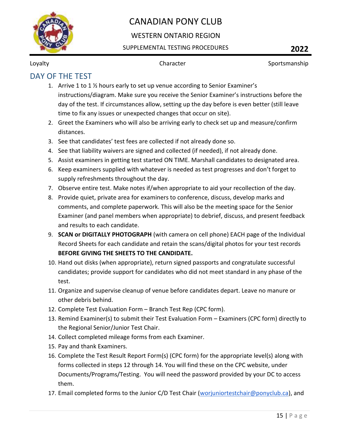

## WESTERN ONTARIO REGION

### SUPPLEMENTAL TESTING PROCEDURES **2022**

Loyalty **Sportsmanship** Character **Character** Sportsmanship

# <span id="page-15-0"></span>DAY OF THE TEST

- 1. Arrive 1 to 1 ½ hours early to set up venue according to Senior Examiner's instructions/diagram. Make sure you receive the Senior Examiner's instructions before the day of the test. If circumstances allow, setting up the day before is even better (still leave time to fix any issues or unexpected changes that occur on site).
- 2. Greet the Examiners who will also be arriving early to check set up and measure/confirm distances.
- 3. See that candidates' test fees are collected if not already done so.
- 4. See that liability waivers are signed and collected (if needed), if not already done.
- 5. Assist examiners in getting test started ON TIME. Marshall candidates to designated area.
- 6. Keep examiners supplied with whatever is needed as test progresses and don't forget to supply refreshments throughout the day.
- 7. Observe entire test. Make notes if/when appropriate to aid your recollection of the day.
- 8. Provide quiet, private area for examiners to conference, discuss, develop marks and comments, and complete paperwork. This will also be the meeting space for the Senior Examiner (and panel members when appropriate) to debrief, discuss, and present feedback and results to each candidate.
- 9. **SCAN or DIGITALLY PHOTOGRAPH** (with camera on cell phone) EACH page of the Individual Record Sheets for each candidate and retain the scans/digital photos for your test records **BEFORE GIVING THE SHEETS TO THE CANDIDATE.**
- 10. Hand out disks (when appropriate), return signed passports and congratulate successful candidates; provide support for candidates who did not meet standard in any phase of the test.
- 11. Organize and supervise cleanup of venue before candidates depart. Leave no manure or other debris behind.
- 12. Complete Test Evaluation Form Branch Test Rep (CPC form).
- 13. Remind Examiner(s) to submit their Test Evaluation Form Examiners (CPC form) directly to the Regional Senior/Junior Test Chair.
- 14. Collect completed mileage forms from each Examiner.
- 15. Pay and thank Examiners.
- 16. Complete the Test Result Report Form(s) (CPC form) for the appropriate level(s) along with forms collected in steps 12 through 14. You will find these on the CPC website, under Documents/Programs/Testing. You will need the password provided by your DC to access them.
- 17. Email completed forms to the Junior C/D Test Chair [\(worjuniortestchair@ponyclub.ca\)](mailto:worjuniortestchair@ponyclub.ca), and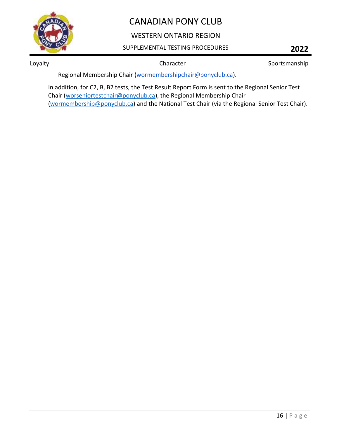

## WESTERN ONTARIO REGION

### SUPPLEMENTAL TESTING PROCEDURES **2022**

Loyalty **Sportsmanship** Character **Sportsmanship** Character Sportsmanship

Regional Membership Chair [\(wormembershipchair@ponyclub.ca\)](mailto:wormembershipchair@ponyclub.ca).

In addition, for C2, B, B2 tests, the Test Result Report Form is sent to the Regional Senior Test Chair [\(worseniortestchair@ponyclub.ca\)](mailto:worseniortestchair@ponyclub.ca), the Regional Membership Chair [\(wormembership@ponyclub.ca\)](mailto:wormembership@ponyclub.ca) and the National Test Chair (via the Regional Senior Test Chair).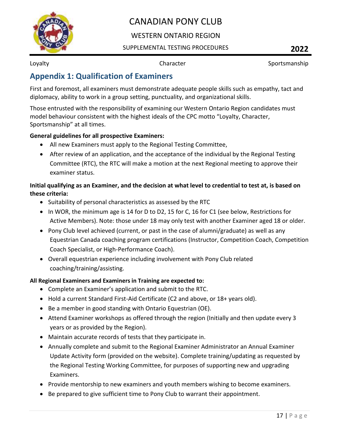

## WESTERN ONTARIO REGION

### SUPPLEMENTAL TESTING PROCEDURES **2022**

Loyalty **Sportsmanship** Character **Character** Sportsmanship

# <span id="page-17-0"></span>**Appendix 1: Qualification of Examiners**

First and foremost, all examiners must demonstrate adequate people skills such as empathy, tact and diplomacy, ability to work in a group setting, punctuality, and organizational skills.

Those entrusted with the responsibility of examining our Western Ontario Region candidates must model behaviour consistent with the highest ideals of the CPC motto "Loyalty, Character, Sportsmanship" at all times.

### **General guidelines for all prospective Examiners:**

- All new Examiners must apply to the Regional Testing Committee,
- After review of an application, and the acceptance of the individual by the Regional Testing Committee (RTC), the RTC will make a motion at the next Regional meeting to approve their examiner status.

## **Initial qualifying as an Examiner, and the decision at what level to credential to test at, is based on these criteria:**

- Suitability of personal characteristics as assessed by the RTC
- In WOR, the minimum age is 14 for D to D2, 15 for C, 16 for C1 (see below, Restrictions for Active Members). Note: those under 18 may only test with another Examiner aged 18 or older.
- Pony Club level achieved (current, or past in the case of alumni/graduate) as well as any Equestrian Canada coaching program certifications (Instructor, Competition Coach, Competition Coach Specialist, or High-Performance Coach).
- Overall equestrian experience including involvement with Pony Club related coaching/training/assisting.

### **All Regional Examiners and Examiners in Training are expected to:**

- Complete an Examiner's application and submit to the RTC.
- Hold a current Standard First-Aid Certificate (C2 and above, or 18+ years old).
- Be a member in good standing with Ontario Equestrian (OE).
- Attend Examiner workshops as offered through the region (Initially and then update every 3 years or as provided by the Region).
- Maintain accurate records of tests that they participate in.
- Annually complete and submit to the Regional Examiner Administrator an Annual Examiner Update Activity form (provided on the website). Complete training/updating as requested by the Regional Testing Working Committee, for purposes of supporting new and upgrading Examiners.
- Provide mentorship to new examiners and youth members wishing to become examiners.
- Be prepared to give sufficient time to Pony Club to warrant their appointment.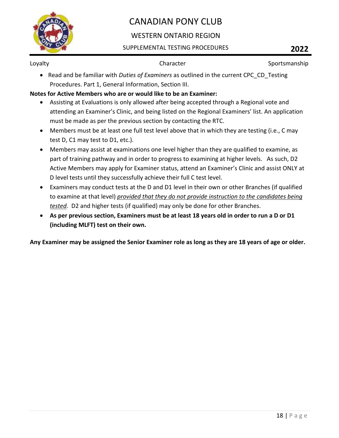

## WESTERN ONTARIO REGION

### SUPPLEMENTAL TESTING PROCEDURES **2022**

Loyalty **Sportsmanship** Character **Character** Sportsmanship

• Read and be familiar with *Duties of Examiners* as outlined in the current CPC\_CD\_Testing Procedures. Part 1, General Information, Section III.

### **Notes for Active Members who are or would like to be an Examiner:**

- Assisting at Evaluations is only allowed after being accepted through a Regional vote and attending an Examiner's Clinic, and being listed on the Regional Examiners' list. An application must be made as per the previous section by contacting the RTC.
- Members must be at least one full test level above that in which they are testing (i.e., C may test D, C1 may test to D1, etc.).
- Members may assist at examinations one level higher than they are qualified to examine, as part of training pathway and in order to progress to examining at higher levels. As such, D2 Active Members may apply for Examiner status, attend an Examiner's Clinic and assist ONLY at D level tests until they successfully achieve their full C test level.
- Examiners may conduct tests at the D and D1 level in their own or other Branches (if qualified to examine at that level) *provided that they do not provide instruction to the candidates being tested*. D2 and higher tests (if qualified) may only be done for other Branches.
- **As per previous section, Examiners must be at least 18 years old in order to run a D or D1 (including MLFT) test on their own.**

**Any Examiner may be assigned the Senior Examiner role as long as they are 18 years of age or older.**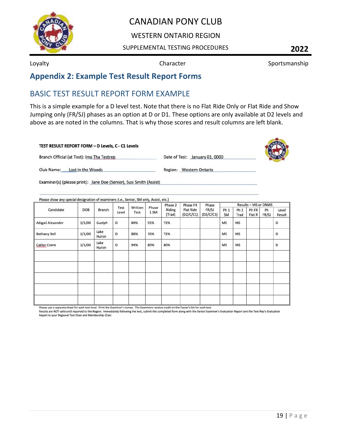

### WESTERN ONTARIO REGION

### SUPPLEMENTAL TESTING PROCEDURES **2022**

Loyalty **Sportsmanship** Character **Sportsmanship** Character Sportsmanship

# <span id="page-19-0"></span>**Appendix 2: Example Test Result Report Forms**

# <span id="page-19-1"></span>BASIC TEST RESULT REPORT FORM EXAMPLE

This is a simple example for a D level test. Note that there is no Flat Ride Only or Flat Ride and Show Jumping only (FR/SJ) phases as an option at D or D1. These options are only available at D2 levels and above as are noted in the columns. That is why those scores and result columns are left blank.

### TEST RESULT REPORT FORM - D Levels, C - C1 Levels

Date of Test: January 01, 0000



Branch Official (at Test): Ima Tha Testrep

Club Name: Lost in the Woods

Region: Western Ontario

Examiner(s) (please print): Jane Doe (Senior), Susi Smith (Assist)

|                     | DOB    | Branch        |               | Written<br>Test | Phase<br>1 SM | Phase 2<br>Riding<br>(Trad) | Phase FR<br><b>Flat Ride</b><br>(D2/C/C1) | Phase<br>FR/SJ<br>(D2/C/C1) | Results - MS or DNMS  |                         |                            |             |                 |
|---------------------|--------|---------------|---------------|-----------------|---------------|-----------------------------|-------------------------------------------|-----------------------------|-----------------------|-------------------------|----------------------------|-------------|-----------------|
| Candidate           |        |               | Test<br>Level |                 |               |                             |                                           |                             | Ph <sub>1</sub><br>SM | Ph <sub>2</sub><br>Trad | Ph <sub>FR</sub><br>Flat R | Ph<br>FR/SJ | Level<br>Result |
| Abigail Alexander   | 1/1/00 | Guelph        | D             | 84%             | 95%           | 72%                         |                                           |                             | <b>MS</b>             | <b>MS</b>               |                            |             | D               |
| <b>Bethany Bell</b> | 1/1/00 | Lake<br>Huron | D             | 88%             | 76%           | 72%                         |                                           |                             | <b>MS</b>             | MS                      |                            |             | D               |
| Catlyn Crane        | 1/1/00 | Lake<br>Huron | D             | 94%             | 80%           | 80%                         |                                           |                             | <b>MS</b>             | <b>MS</b>               |                            |             | D               |
|                     |        |               |               |                 |               |                             |                                           |                             |                       |                         |                            |             |                 |
|                     |        |               |               |                 |               |                             |                                           |                             |                       |                         |                            |             |                 |
|                     |        |               |               |                 |               |                             |                                           |                             |                       |                         |                            |             |                 |
|                     |        |               |               |                 |               |                             |                                           |                             |                       |                         |                            |             |                 |

Please use a separate sheet for each test level. Print the Examiner's names. The Examiners receive credit on the Tester's list for each test.

Results are NOT valid until reported to the Region. Immediately following the test, submit this completed form along with the Senior Examiner's Evaluation Report and the Test Rep's Evaluation Report to your Regional Test Chair and Membership Chair.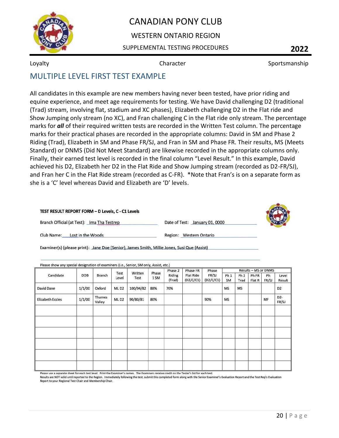

## WESTERN ONTARIO REGION

### SUPPLEMENTAL TESTING PROCEDURES **2022**

Loyalty **Sportsmanship** Character **Sportsmanship** Character Sportsmanship

# <span id="page-20-0"></span>MULTIPLE LEVEL FIRST TEST EXAMPLE

All candidates in this example are new members having never been tested, have prior riding and equine experience, and meet age requirements for testing. We have David challenging D2 (traditional (Trad) stream, involving flat, stadium and XC phases), Elizabeth challenging D2 in the Flat ride and Show Jumping only stream (no XC), and Fran challenging C in the Flat ride only stream. The percentage marks for *all* of their required written tests are recorded in the Written Test column. The percentage marks for their practical phases are recorded in the appropriate columns: David in SM and Phase 2 Riding (Trad), Elizabeth in SM and Phase FR/SJ, and Fran in SM and Phase FR. Their results, MS (Meets Standard) or DNMS (Did Not Meet Standard) are likewise recorded in the appropriate columns only. Finally, their earned test level is recorded in the final column "Level Result." In this example, David achieved his D2, Elizabeth her D2 in the Flat Ride and Show Jumping stream (recorded as D2-FR/SJ), and Fran her C in the Flat Ride stream (recorded as C-FR). \*Note that Fran's is on a separate form as she is a 'C' level whereas David and Elizabeth are 'D' levels.

### TEST RESULT REPORT FORM - D Levels, C - C1 Levels

Branch Official (at Test): Ima Tha Testrep

Date of Test: January 01, 0000

Club Name: Lost in the Woods

Region: Western Ontario

Examiner(s) (please print): Jane Doe (Senior), James Smith, Millie Jones, Susi Que (Assist)

|                         |        |                  |                  |                 |               | Phase 2          | Phase FR                      | Phase              | Results - MS or DNMS  |                         |                 |             |                           |
|-------------------------|--------|------------------|------------------|-----------------|---------------|------------------|-------------------------------|--------------------|-----------------------|-------------------------|-----------------|-------------|---------------------------|
| Candidate               | DOB    | Branch           | Test<br>Level    | Written<br>Test | Phase<br>1 SM | Riding<br>(Trad) | <b>Flat Ride</b><br>(D2/C/C1) | FR/SJ<br>(D2/C/C1) | Ph <sub>1</sub><br>SM | Ph <sub>2</sub><br>Trad | Ph FR<br>Flat R | Ph<br>FR/SJ | Level<br>Result           |
| David Dane              | 1/1/00 | Oxford           | MLD <sub>2</sub> | 100/94/82       | 88%           | 70%              |                               |                    | MS                    | MS                      |                 |             | D <sub>2</sub>            |
| <b>Elizabeth Eccles</b> | 1/1/00 | Thames<br>Valley | MLD <sub>2</sub> | 90/80/81        | 80%           |                  |                               | 90%                | MS                    |                         |                 | MF          | D <sub>2</sub> -<br>FR/SJ |
|                         |        |                  |                  |                 |               |                  |                               |                    |                       |                         |                 |             |                           |
|                         |        |                  |                  |                 |               |                  |                               |                    |                       |                         |                 |             |                           |
|                         |        |                  |                  |                 |               |                  |                               |                    |                       |                         |                 |             |                           |
|                         |        |                  |                  |                 |               |                  |                               |                    |                       |                         |                 |             |                           |
|                         |        |                  |                  |                 |               |                  |                               |                    |                       |                         |                 |             |                           |
|                         |        |                  |                  |                 |               |                  |                               |                    |                       |                         |                 |             |                           |
|                         |        |                  |                  |                 |               |                  |                               |                    |                       |                         |                 |             |                           |

Please use a separate sheet for each test level. Print the Examiner's names. The Examiners receive credit on the Tester's list for each test.

Results are NOT valid until reported to the Region. Immediately following the test, submit this completed form along with the Senior Examiner's Evaluation Report and the Test Rep's Evaluation Report to your Regional Test Chair and Membership Chair.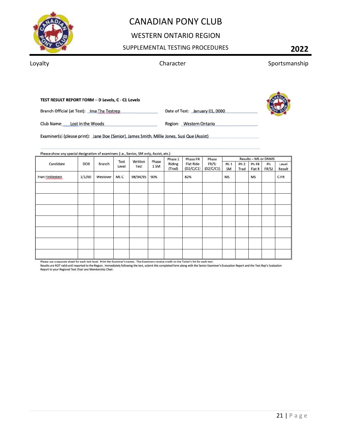

## WESTERN ONTARIO REGION

### SUPPLEMENTAL TESTING PROCEDURES **2022**

Loyalty **Sportsmanship** Character **Sportsmanship** Character Sportsmanship

### TEST RESULT REPORT FORM - D Levels, C - C1 Levels

Branch Official (at Test): Ima Tha Testrep

Date of Test: January 01, 0000

Region: Western Ontario



Club Name: Lost in the Woods

Examiner(s) (please print): Jane Doe (Senior), James Smith, Millie Jones, Susi Que (Assist)

|                  |        | <b>Branch</b> | Test<br>Level | Written<br>Test | Phase<br>1 SM | Phase 2<br>Riding<br>(Trad) | Phase FR<br><b>Flat Ride</b><br>(D2/C/C1) | Phase              | Results - MS or DNMS  |                         |                 |             |                 |
|------------------|--------|---------------|---------------|-----------------|---------------|-----------------------------|-------------------------------------------|--------------------|-----------------------|-------------------------|-----------------|-------------|-----------------|
| Candidate        | DOB    |               |               |                 |               |                             |                                           | FR/SJ<br>(D2/C/C1) | Ph <sub>1</sub><br>SM | Ph <sub>2</sub><br>Trad | Ph FR<br>Flat R | Ph<br>FR/SJ | Level<br>Result |
| Fran Finklestein | 1/1/00 | Westover      | ML C          | 98/94/95        | 90%           |                             | 82%                                       |                    | <b>MS</b>             |                         | <b>MS</b>       |             | $C-FR$          |
|                  |        |               |               |                 |               |                             |                                           |                    |                       |                         |                 |             |                 |
|                  |        |               |               |                 |               |                             |                                           |                    |                       |                         |                 |             |                 |
|                  |        |               |               |                 |               |                             |                                           |                    |                       |                         |                 |             |                 |
|                  |        |               |               |                 |               |                             |                                           |                    |                       |                         |                 |             |                 |
|                  |        |               |               |                 |               |                             |                                           |                    |                       |                         |                 |             |                 |
|                  |        |               |               |                 |               |                             |                                           |                    |                       |                         |                 |             |                 |
|                  |        |               |               |                 |               |                             |                                           |                    |                       |                         |                 |             |                 |

Please use a separate sheet for each test level. Print the Examiner's names. The Examiners receive credit on the Tester's list for each test.

Results are NOT valid until reported to the Region. Immediately following the test, submit this completed form along with the Senior Examiner's Evaluation Report and the Test Rep's Evaluation<br>Report to your Regional Test C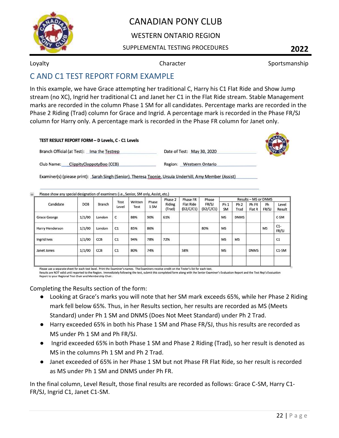

## WESTERN ONTARIO REGION

### SUPPLEMENTAL TESTING PROCEDURES **2022**

Loyalty **Character Character** Sportsmanship

# <span id="page-22-0"></span>C AND C1 TEST REPORT FORM EXAMPLE

In this example, we have Grace attempting her traditional C, Harry his C1 Flat Ride and Show Jump stream (no XC), Ingrid her traditional C1 and Janet her C1 in the Flat Ride stream. Stable Management marks are recorded in the column Phase 1 SM for all candidates. Percentage marks are recorded in the Phase 2 Riding (Trad) column for Grace and Ingrid. A percentage mark is recorded in the Phase FR/SJ column for Harry only. A percentage mark is recorded in the Phase FR column for Janet only.

| TEST RESULT REPORT FORM - D Levels, C - C1 Levels |                                    |  |
|---------------------------------------------------|------------------------------------|--|
| Branch Official (at Test): Ima the Testrep        | Date of Test: May 30, 2020         |  |
| Club Name:<br>ClippityCloppotyBoo (CCB)           | <b>Westsern Ontario</b><br>Region: |  |

Examiner(s) (please print): Sarah Singh (Senior), Theresa Toonie, Ursula Underhill, Amy Member (Assist)

|                     | DOB    |            |               | Written<br>Test | Phase<br>1 SM | Phase 2<br>Riding<br>(Trad) | Phase FR<br><b>Flat Ride</b><br>(D2/C/C1) | Phase<br>FR/SJ<br>(D2/C/C1) | Results - MS or DNMS         |                         |                 |             |                 |
|---------------------|--------|------------|---------------|-----------------|---------------|-----------------------------|-------------------------------------------|-----------------------------|------------------------------|-------------------------|-----------------|-------------|-----------------|
| Candidate           |        | Branch     | Test<br>Level |                 |               |                             |                                           |                             | Ph <sub>1</sub><br><b>SM</b> | Ph <sub>2</sub><br>Trad | Ph FR<br>Flat R | Ph<br>FR/SJ | Level<br>Result |
| <b>Grace George</b> | 1/1/00 | London     | c             | 88%             | 90%           | 61%                         |                                           |                             | <b>MS</b>                    | <b>DNMS</b>             |                 |             | C-SM            |
| Harry Henderson     | 1/1/00 | London     | C1            | 85%             | 86%           |                             |                                           | 80%                         | <b>MS</b>                    |                         |                 | <b>MS</b>   | $C1-$<br>FR/SJ  |
| Ingrid Ives         | 1/1/00 | <b>CCB</b> | C1            | 94%             | 78%           | 72%                         |                                           |                             | <b>MS</b>                    | <b>MS</b>               |                 |             | C1              |
| Janet Jones         | 1/1/00 | CCB        | C1            | 80%             | 74%           |                             | 58%                                       |                             | <b>MS</b>                    |                         | <b>DNMS</b>     |             | $C1-SM$         |

Please use a separate sheet for each test level. Print the Examiner's names. The Examiners receive credit on the Tester's list for each test. Results are NOT valid until reported to the Region. Immediately following the test, submit this completed form along with the Senior Examiner's Evaluation Report and the Test Rep's Evaluation<br>Report to your Regional Test C

Completing the Results section of the form:

- Looking at Grace's marks you will note that her SM mark exceeds 65%, while her Phase 2 Riding mark fell below 65%. Thus, in her Results section, her results are recorded as MS (Meets Standard) under Ph 1 SM and DNMS (Does Not Meet Standard) under Ph 2 Trad.
- Harry exceeded 65% in both his Phase 1 SM and Phase FR/SJ, thus his results are recorded as MS under Ph 1 SM and Ph FR/SJ.
- Ingrid exceeded 65% in both Phase 1 SM and Phase 2 Riding (Trad), so her result is denoted as MS in the columns Ph 1 SM and Ph 2 Trad.
- Janet exceeded of 65% in her Phase 1 SM but not Phase FR Flat Ride, so her result is recorded as MS under Ph 1 SM and DNMS under Ph FR.

In the final column, Level Result, those final results are recorded as follows: Grace C-SM, Harry C1- FR/SJ, Ingrid C1, Janet C1-SM.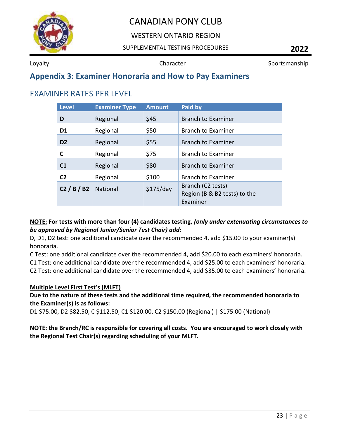

## WESTERN ONTARIO REGION

### SUPPLEMENTAL TESTING PROCEDURES **2022**

Loyalty **Sportsmanship** Character **Character** Sportsmanship

# <span id="page-23-0"></span>**Appendix 3: Examiner Honoraria and How to Pay Examiners**

# <span id="page-23-1"></span>EXAMINER RATES PER LEVEL

| <b>Level</b>   | <b>Examiner Type</b> | <b>Amount</b> | Paid by                                                       |
|----------------|----------------------|---------------|---------------------------------------------------------------|
| D              | Regional             | \$45          | <b>Branch to Examiner</b>                                     |
| D <sub>1</sub> | Regional             | \$50          | <b>Branch to Examiner</b>                                     |
| D <sub>2</sub> | Regional             | \$55          | <b>Branch to Examiner</b>                                     |
| C              | Regional             | \$75          | <b>Branch to Examiner</b>                                     |
| C <sub>1</sub> | Regional             | \$80          | <b>Branch to Examiner</b>                                     |
| C <sub>2</sub> | Regional             | \$100         | <b>Branch to Examiner</b>                                     |
| C2 / B / B2    | <b>National</b>      | \$175/day     | Branch (C2 tests)<br>Region (B & B2 tests) to the<br>Examiner |

### **NOTE: For tests with more than four (4) candidates testing,** *(only under extenuating circumstances to be approved by Regional Junior/Senior Test Chair) add:*

D, D1, D2 test: one additional candidate over the recommended 4, add \$15.00 to your examiner(s) honoraria.

C Test: one additional candidate over the recommended 4, add \$20.00 to each examiners' honoraria. C1 Test: one additional candidate over the recommended 4, add \$25.00 to each examiners' honoraria. C2 Test: one additional candidate over the recommended 4, add \$35.00 to each examiners' honoraria.

### **Multiple Level First Test's (MLFT)**

## **Due to the nature of these tests and the additional time required, the recommended honoraria to the Examiner(s) is as follows:**

D1 \$75.00, D2 \$82.50, C \$112.50, C1 \$120.00, C2 \$150.00 (Regional) | \$175.00 (National)

## **NOTE: the Branch/RC is responsible for covering all costs. You are encouraged to work closely with the Regional Test Chair(s) regarding scheduling of your MLFT.**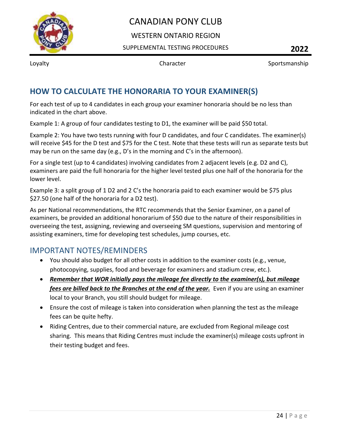

## WESTERN ONTARIO REGION

SUPPLEMENTAL TESTING PROCEDURES **2022**

Loyalty **Sportsmanship** Character **Sportsmanship** 

# <span id="page-24-0"></span>**HOW TO CALCULATE THE HONORARIA TO YOUR EXAMINER(S)**

For each test of up to 4 candidates in each group your examiner honoraria should be no less than indicated in the chart above.

Example 1: A group of four candidates testing to D1, the examiner will be paid \$50 total.

Example 2: You have two tests running with four D candidates, and four C candidates. The examiner(s) will receive \$45 for the D test and \$75 for the C test. Note that these tests will run as separate tests but may be run on the same day (e.g., D's in the morning and C's in the afternoon).

For a single test (up to 4 candidates) involving candidates from 2 adjacent levels (e.g. D2 and C), examiners are paid the full honoraria for the higher level tested plus one half of the honoraria for the lower level.

Example 3: a split group of 1 D2 and 2 C's the honoraria paid to each examiner would be \$75 plus \$27.50 (one half of the honoraria for a D2 test).

As per National recommendations, the RTC recommends that the Senior Examiner, on a panel of examiners, be provided an additional honorarium of \$50 due to the nature of their responsibilities in overseeing the test, assigning, reviewing and overseeing SM questions, supervision and mentoring of assisting examiners, time for developing test schedules, jump courses, etc.

# <span id="page-24-1"></span>IMPORTANT NOTES/REMINDERS

- You should also budget for all other costs in addition to the examiner costs (e.g., venue, photocopying, supplies, food and beverage for examiners and stadium crew, etc.).
- *Remember that WOR initially pays the mileage fee directly to the examiner(s), but mileage fees are billed back to the Branches at the end of the year.* Even if you are using an examiner local to your Branch, you still should budget for mileage.
- Ensure the cost of mileage is taken into consideration when planning the test as the mileage fees can be quite hefty.
- Riding Centres, due to their commercial nature, are excluded from Regional mileage cost sharing. This means that Riding Centres must include the examiner(s) mileage costs upfront in their testing budget and fees.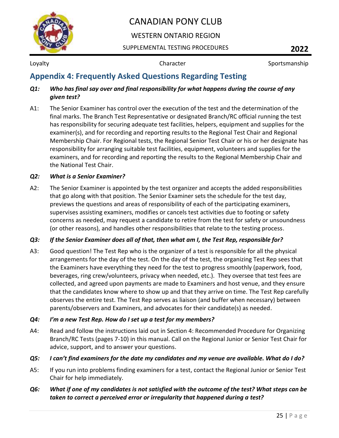

## WESTERN ONTARIO REGION

SUPPLEMENTAL TESTING PROCEDURES **2022**

Loyalty **Sportsmanship** Character **Character** Sportsmanship

# <span id="page-25-0"></span>**Appendix 4: Frequently Asked Questions Regarding Testing**

### *Q1: Who has final say over and final responsibility for what happens during the course of any given test?*

A1: The Senior Examiner has control over the execution of the test and the determination of the final marks. The Branch Test Representative or designated Branch/RC official running the test has responsibility for securing adequate test facilities, helpers, equipment and supplies for the examiner(s), and for recording and reporting results to the Regional Test Chair and Regional Membership Chair. For Regional tests, the Regional Senior Test Chair or his or her designate has responsibility for arranging suitable test facilities, equipment, volunteers and supplies for the examiners, and for recording and reporting the results to the Regional Membership Chair and the National Test Chair.

### *Q2: What is a Senior Examiner?*

A2: The Senior Examiner is appointed by the test organizer and accepts the added responsibilities that go along with that position. The Senior Examiner sets the schedule for the test day, previews the questions and areas of responsibility of each of the participating examiners, supervises assisting examiners, modifies or cancels test activities due to footing or safety concerns as needed, may request a candidate to retire from the test for safety or unsoundness (or other reasons), and handles other responsibilities that relate to the testing process.

### *Q3: If the Senior Examiner does all of that, then what am I, the Test Rep, responsible for?*

A3: Good question! The Test Rep who is the organizer of a test is responsible for all the physical arrangements for the day of the test. On the day of the test, the organizing Test Rep sees that the Examiners have everything they need for the test to progress smoothly (paperwork, food, beverages, ring crew/volunteers, privacy when needed, etc.). They oversee that test fees are collected, and agreed upon payments are made to Examiners and host venue, and they ensure that the candidates know where to show up and that they arrive on time. The Test Rep carefully observes the entire test. The Test Rep serves as liaison (and buffer when necessary) between parents/observers and Examiners, and advocates for their candidate(s) as needed.

## *Q4: I'm a new Test Rep. How do I set up a test for my members?*

A4: Read and follow the instructions laid out in Section 4: Recommended Procedure for Organizing Branch/RC Tests (pages 7-10) in this manual. Call on the Regional Junior or Senior Test Chair for advice, support, and to answer your questions.

## *Q5: I can't find examiners for the date my candidates and my venue are available. What do I do?*

A5: If you run into problems finding examiners for a test, contact the Regional Junior or Senior Test Chair for help immediately.

## *Q6: What if one of my candidates is not satisfied with the outcome of the test? What steps can be taken to correct a perceived error or irregularity that happened during a test?*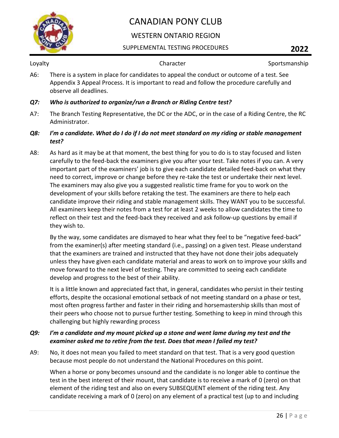

## WESTERN ONTARIO REGION

### SUPPLEMENTAL TESTING PROCEDURES **2022**

Loyalty **Sportsmanship** Character **Character** Sportsmanship

A6: There is a system in place for candidates to appeal the conduct or outcome of a test. See Appendix 3 Appeal Process. It is important to read and follow the procedure carefully and observe all deadlines.

### *Q7: Who is authorized to organize/run a Branch or Riding Centre test?*

A7: The Branch Testing Representative, the DC or the ADC, or in the case of a Riding Centre, the RC Administrator.

### *Q8: I'm a candidate. What do I do if I do not meet standard on my riding or stable management test?*

A8: As hard as it may be at that moment, the best thing for you to do is to stay focused and listen carefully to the feed-back the examiners give you after your test. Take notes if you can. A very important part of the examiners' job is to give each candidate detailed feed-back on what they need to correct, improve or change before they re-take the test or undertake their next level. The examiners may also give you a suggested realistic time frame for you to work on the development of your skills before retaking the test. The examiners are there to help each candidate improve their riding and stable management skills. They WANT you to be successful. All examiners keep their notes from a test for at least 2 weeks to allow candidates the time to reflect on their test and the feed-back they received and ask follow-up questions by email if they wish to.

By the way, some candidates are dismayed to hear what they feel to be "negative feed-back" from the examiner(s) after meeting standard (i.e., passing) on a given test. Please understand that the examiners are trained and instructed that they have not done their jobs adequately unless they have given each candidate material and areas to work on to improve your skills and move forward to the next level of testing. They are committed to seeing each candidate develop and progress to the best of their ability.

It is a little known and appreciated fact that, in general, candidates who persist in their testing efforts, despite the occasional emotional setback of not meeting standard on a phase or test, most often progress farther and faster in their riding and horsemastership skills than most of their peers who choose not to pursue further testing. Something to keep in mind through this challenging but highly rewarding process

### *Q9: I'm a candidate and my mount picked up a stone and went lame during my test and the examiner asked me to retire from the test. Does that mean I failed my test?*

A9: No, it does not mean you failed to meet standard on that test. That is a very good question because most people do not understand the National Procedures on this point.

When a horse or pony becomes unsound and the candidate is no longer able to continue the test in the best interest of their mount, that candidate is to receive a mark of 0 (zero) on that element of the riding test and also on every SUBSEQUENT element of the riding test. Any candidate receiving a mark of 0 (zero) on any element of a practical test (up to and including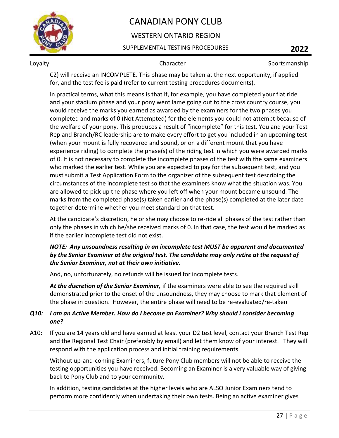

## WESTERN ONTARIO REGION

### SUPPLEMENTAL TESTING PROCEDURES **2022**

Loyalty **Sportsmanship** Character **Character** Sportsmanship

C2) will receive an INCOMPLETE. This phase may be taken at the next opportunity, if applied for, and the test fee is paid (refer to current testing procedures documents).

In practical terms, what this means is that if, for example, you have completed your flat ride and your stadium phase and your pony went lame going out to the cross country course, you would receive the marks you earned as awarded by the examiners for the two phases you completed and marks of 0 (Not Attempted) for the elements you could not attempt because of the welfare of your pony. This produces a result of "incomplete" for this test. You and your Test Rep and Branch/RC leadership are to make every effort to get you included in an upcoming test (when your mount is fully recovered and sound, or on a different mount that you have experience riding) to complete the phase(s) of the riding test in which you were awarded marks of 0. It is not necessary to complete the incomplete phases of the test with the same examiners who marked the earlier test. While you are expected to pay for the subsequent test, and you must submit a Test Application Form to the organizer of the subsequent test describing the circumstances of the incomplete test so that the examiners know what the situation was. You are allowed to pick up the phase where you left off when your mount became unsound. The marks from the completed phase(s) taken earlier and the phase(s) completed at the later date together determine whether you meet standard on that test.

At the candidate's discretion, he or she may choose to re-ride all phases of the test rather than only the phases in which he/she received marks of 0. In that case, the test would be marked as if the earlier incomplete test did not exist.

### *NOTE: Any unsoundness resulting in an incomplete test MUST be apparent and documented by the Senior Examiner at the original test. The candidate may only retire at the request of the Senior Examiner, not at their own initiative.*

And, no, unfortunately, no refunds will be issued for incomplete tests.

*At the discretion of the Senior Examiner,* if the examiners were able to see the required skill demonstrated prior to the onset of the unsoundness, they may choose to mark that element of the phase in question. However, the entire phase will need to be re-evaluated/re-taken

### *Q10: I am an Active Member. How do I become an Examiner? Why should I consider becoming one?*

A10: If you are 14 years old and have earned at least your D2 test level, contact your Branch Test Rep and the Regional Test Chair (preferably by email) and let them know of your interest. They will respond with the application process and initial training requirements.

Without up-and-coming Examiners, future Pony Club members will not be able to receive the testing opportunities you have received. Becoming an Examiner is a very valuable way of giving back to Pony Club and to your community.

In addition, testing candidates at the higher levels who are ALSO Junior Examiners tend to perform more confidently when undertaking their own tests. Being an active examiner gives